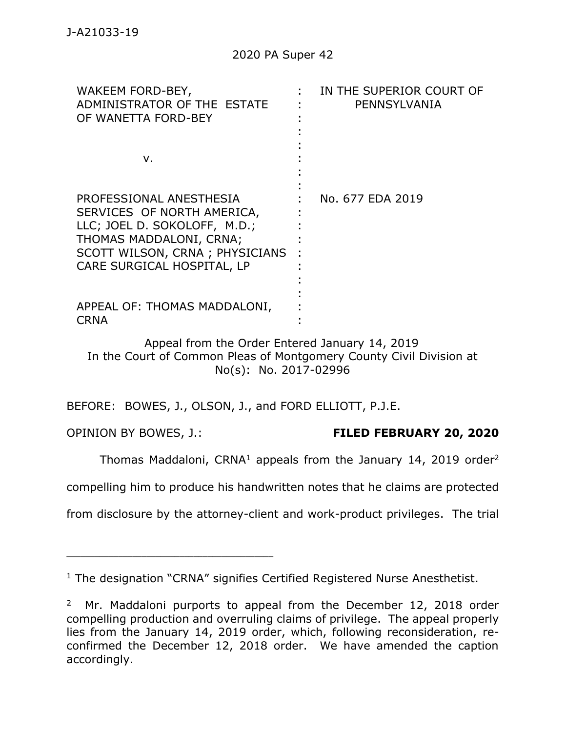| WAKEEM FORD-BEY,<br>ADMINISTRATOR OF THE ESTATE<br>OF WANETTA FORD-BEY                                                                                                           | IN THE SUPERIOR COURT OF<br>PENNSYLVANIA |
|----------------------------------------------------------------------------------------------------------------------------------------------------------------------------------|------------------------------------------|
| ν.                                                                                                                                                                               |                                          |
| PROFESSIONAL ANESTHESIA<br>SERVICES OF NORTH AMERICA,<br>LLC; JOEL D. SOKOLOFF, M.D.;<br>THOMAS MADDALONI, CRNA;<br>SCOTT WILSON, CRNA; PHYSICIANS<br>CARE SURGICAL HOSPITAL, LP | No. 677 EDA 2019                         |
| APPEAL OF: THOMAS MADDALONI,<br><b>CRNA</b>                                                                                                                                      |                                          |

Appeal from the Order Entered January 14, 2019 In the Court of Common Pleas of Montgomery County Civil Division at No(s): No. 2017-02996

BEFORE: BOWES, J., OLSON, J., and FORD ELLIOTT, P.J.E.

\_\_\_\_\_\_\_\_\_\_\_\_\_\_\_\_\_\_\_\_\_\_\_\_\_\_\_\_\_\_\_\_\_\_\_\_\_\_\_\_\_\_\_\_

# OPINION BY BOWES, J.: **FILED FEBRUARY 20, 2020**

Thomas Maddaloni, CRNA<sup>1</sup> appeals from the January 14, 2019 order<sup>2</sup>

compelling him to produce his handwritten notes that he claims are protected

from disclosure by the attorney-client and work-product privileges. The trial

<sup>&</sup>lt;sup>1</sup> The designation "CRNA" signifies Certified Registered Nurse Anesthetist.

<sup>&</sup>lt;sup>2</sup> Mr. Maddaloni purports to appeal from the December 12, 2018 order compelling production and overruling claims of privilege. The appeal properly lies from the January 14, 2019 order, which, following reconsideration, reconfirmed the December 12, 2018 order. We have amended the caption accordingly.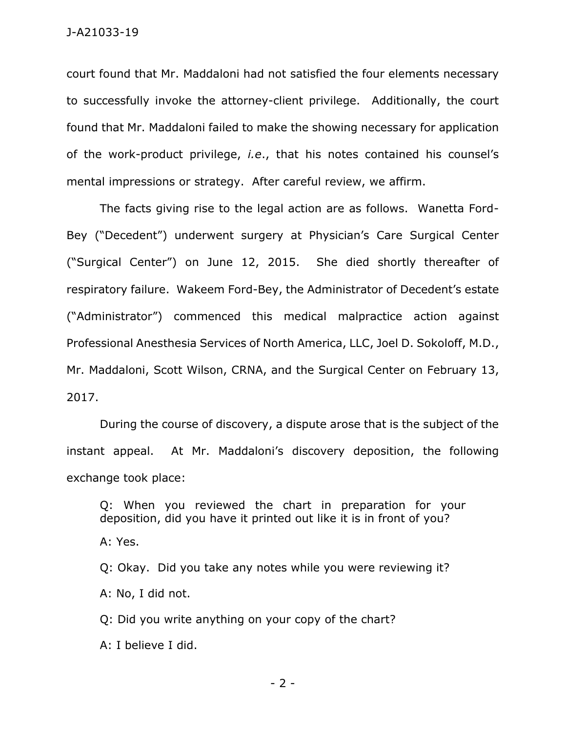court found that Mr. Maddaloni had not satisfied the four elements necessary to successfully invoke the attorney-client privilege. Additionally, the court found that Mr. Maddaloni failed to make the showing necessary for application of the work-product privilege, *i.e*., that his notes contained his counsel's mental impressions or strategy. After careful review, we affirm.

The facts giving rise to the legal action are as follows. Wanetta Ford-Bey ("Decedent") underwent surgery at Physician's Care Surgical Center ("Surgical Center") on June 12, 2015. She died shortly thereafter of respiratory failure. Wakeem Ford-Bey, the Administrator of Decedent's estate ("Administrator") commenced this medical malpractice action against Professional Anesthesia Services of North America, LLC, Joel D. Sokoloff, M.D., Mr. Maddaloni, Scott Wilson, CRNA, and the Surgical Center on February 13, 2017.

During the course of discovery, a dispute arose that is the subject of the instant appeal. At Mr. Maddaloni's discovery deposition, the following exchange took place:

Q: When you reviewed the chart in preparation for your deposition, did you have it printed out like it is in front of you? A: Yes. Q: Okay. Did you take any notes while you were reviewing it? A: No, I did not. Q: Did you write anything on your copy of the chart?

A: I believe I did.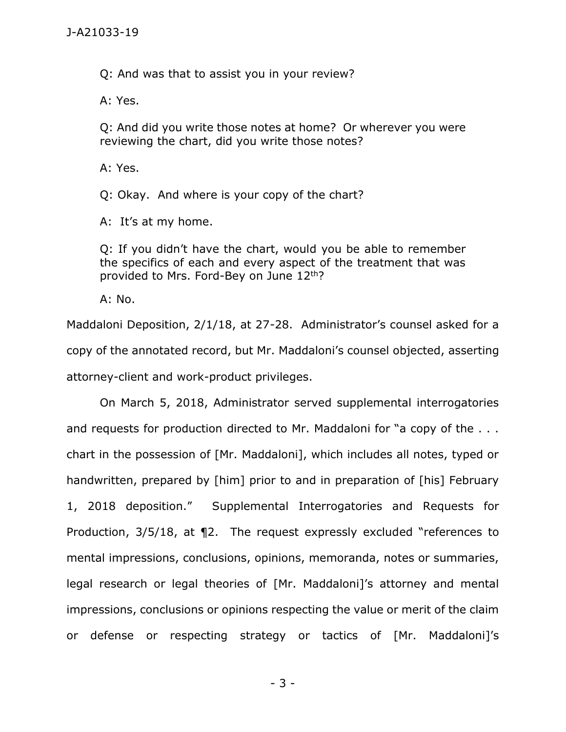Q: And was that to assist you in your review?

A: Yes.

Q: And did you write those notes at home? Or wherever you were reviewing the chart, did you write those notes?

A: Yes.

Q: Okay. And where is your copy of the chart?

A: It's at my home.

Q: If you didn't have the chart, would you be able to remember the specifics of each and every aspect of the treatment that was provided to Mrs. Ford-Bey on June 12<sup>th</sup>?

A: No.

Maddaloni Deposition, 2/1/18, at 27-28. Administrator's counsel asked for a copy of the annotated record, but Mr. Maddaloni's counsel objected, asserting attorney-client and work-product privileges.

On March 5, 2018, Administrator served supplemental interrogatories and requests for production directed to Mr. Maddaloni for "a copy of the . . . chart in the possession of [Mr. Maddaloni], which includes all notes, typed or handwritten, prepared by [him] prior to and in preparation of [his] February 1, 2018 deposition." Supplemental Interrogatories and Requests for Production, 3/5/18, at ¶2. The request expressly excluded "references to mental impressions, conclusions, opinions, memoranda, notes or summaries, legal research or legal theories of [Mr. Maddaloni]'s attorney and mental impressions, conclusions or opinions respecting the value or merit of the claim or defense or respecting strategy or tactics of [Mr. Maddaloni]'s

- 3 -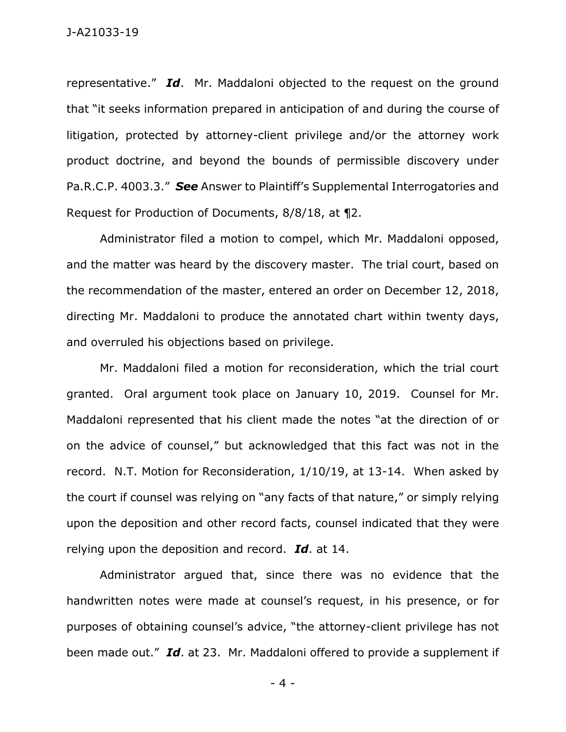representative." *Id*. Mr. Maddaloni objected to the request on the ground that "it seeks information prepared in anticipation of and during the course of litigation, protected by attorney-client privilege and/or the attorney work product doctrine, and beyond the bounds of permissible discovery under Pa.R.C.P. 4003.3." *See* Answer to Plaintiff's Supplemental Interrogatories and Request for Production of Documents, 8/8/18, at ¶2.

Administrator filed a motion to compel, which Mr. Maddaloni opposed, and the matter was heard by the discovery master. The trial court, based on the recommendation of the master, entered an order on December 12, 2018, directing Mr. Maddaloni to produce the annotated chart within twenty days, and overruled his objections based on privilege.

Mr. Maddaloni filed a motion for reconsideration, which the trial court granted. Oral argument took place on January 10, 2019. Counsel for Mr. Maddaloni represented that his client made the notes "at the direction of or on the advice of counsel," but acknowledged that this fact was not in the record. N.T. Motion for Reconsideration, 1/10/19, at 13-14. When asked by the court if counsel was relying on "any facts of that nature," or simply relying upon the deposition and other record facts, counsel indicated that they were relying upon the deposition and record. *Id*. at 14.

Administrator argued that, since there was no evidence that the handwritten notes were made at counsel's request, in his presence, or for purposes of obtaining counsel's advice, "the attorney-client privilege has not been made out." *Id*. at 23. Mr. Maddaloni offered to provide a supplement if

- 4 -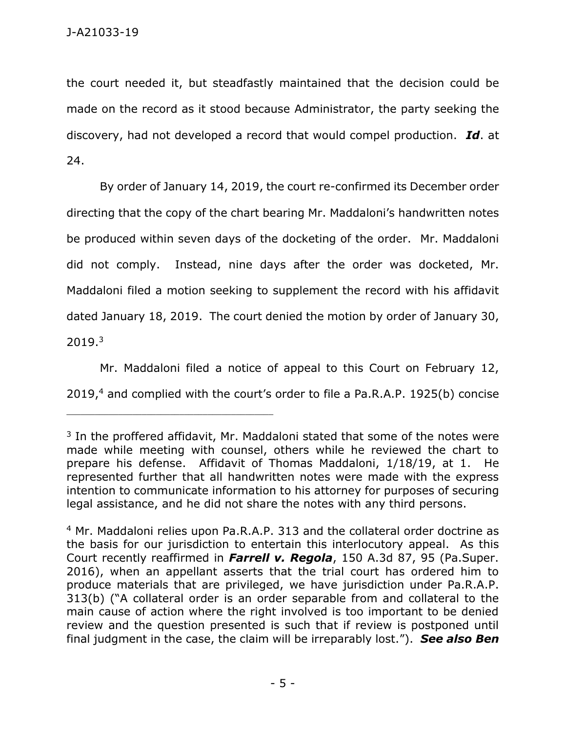the court needed it, but steadfastly maintained that the decision could be made on the record as it stood because Administrator, the party seeking the discovery, had not developed a record that would compel production. *Id*. at 24.

By order of January 14, 2019, the court re-confirmed its December order directing that the copy of the chart bearing Mr. Maddaloni's handwritten notes be produced within seven days of the docketing of the order. Mr. Maddaloni did not comply. Instead, nine days after the order was docketed, Mr. Maddaloni filed a motion seeking to supplement the record with his affidavit dated January 18, 2019. The court denied the motion by order of January 30,  $2019.<sup>3</sup>$ 

Mr. Maddaloni filed a notice of appeal to this Court on February 12, 2019,<sup>4</sup> and complied with the court's order to file a Pa.R.A.P. 1925(b) concise

<sup>&</sup>lt;sup>3</sup> In the proffered affidavit, Mr. Maddaloni stated that some of the notes were made while meeting with counsel, others while he reviewed the chart to prepare his defense. Affidavit of Thomas Maddaloni, 1/18/19, at 1. He represented further that all handwritten notes were made with the express intention to communicate information to his attorney for purposes of securing legal assistance, and he did not share the notes with any third persons.

<sup>4</sup> Mr. Maddaloni relies upon Pa.R.A.P. 313 and the collateral order doctrine as the basis for our jurisdiction to entertain this interlocutory appeal. As this Court recently reaffirmed in *Farrell v. Regola*, 150 A.3d 87, 95 (Pa.Super. 2016), when an appellant asserts that the trial court has ordered him to produce materials that are privileged, we have jurisdiction under Pa.R.A.P. 313(b) ("A collateral order is an order separable from and collateral to the main cause of action where the right involved is too important to be denied review and the question presented is such that if review is postponed until final judgment in the case, the claim will be irreparably lost."). *See also Ben*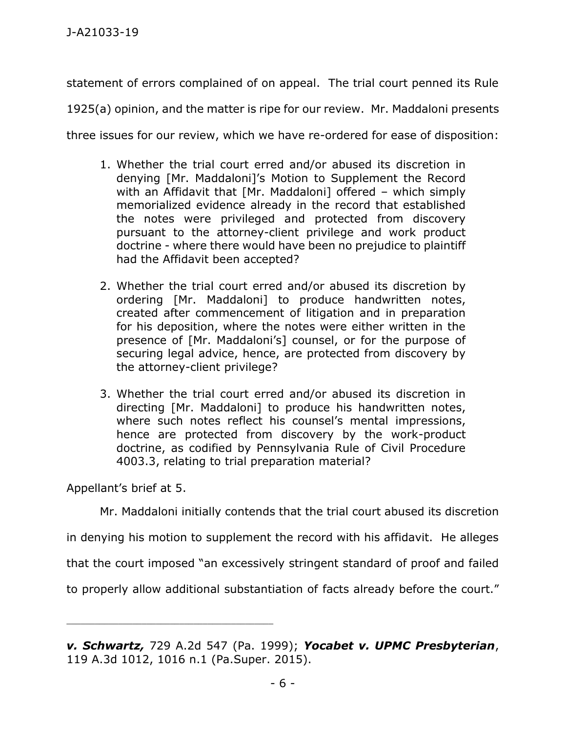statement of errors complained of on appeal. The trial court penned its Rule

1925(a) opinion, and the matter is ripe for our review. Mr. Maddaloni presents

three issues for our review, which we have re-ordered for ease of disposition:

- 1. Whether the trial court erred and/or abused its discretion in denying [Mr. Maddaloni]'s Motion to Supplement the Record with an Affidavit that [Mr. Maddaloni] offered – which simply memorialized evidence already in the record that established the notes were privileged and protected from discovery pursuant to the attorney-client privilege and work product doctrine - where there would have been no prejudice to plaintiff had the Affidavit been accepted?
- 2. Whether the trial court erred and/or abused its discretion by ordering [Mr. Maddaloni] to produce handwritten notes, created after commencement of litigation and in preparation for his deposition, where the notes were either written in the presence of [Mr. Maddaloni's] counsel, or for the purpose of securing legal advice, hence, are protected from discovery by the attorney-client privilege?
- 3. Whether the trial court erred and/or abused its discretion in directing [Mr. Maddaloni] to produce his handwritten notes, where such notes reflect his counsel's mental impressions, hence are protected from discovery by the work-product doctrine, as codified by Pennsylvania Rule of Civil Procedure 4003.3, relating to trial preparation material?

Appellant's brief at 5.

\_\_\_\_\_\_\_\_\_\_\_\_\_\_\_\_\_\_\_\_\_\_\_\_\_\_\_\_\_\_\_\_\_\_\_\_\_\_\_\_\_\_\_\_

Mr. Maddaloni initially contends that the trial court abused its discretion

in denying his motion to supplement the record with his affidavit. He alleges

that the court imposed "an excessively stringent standard of proof and failed

to properly allow additional substantiation of facts already before the court."

*v. Schwartz,* 729 A.2d 547 (Pa. 1999); *Yocabet v. UPMC Presbyterian*, 119 A.3d 1012, 1016 n.1 (Pa.Super. 2015).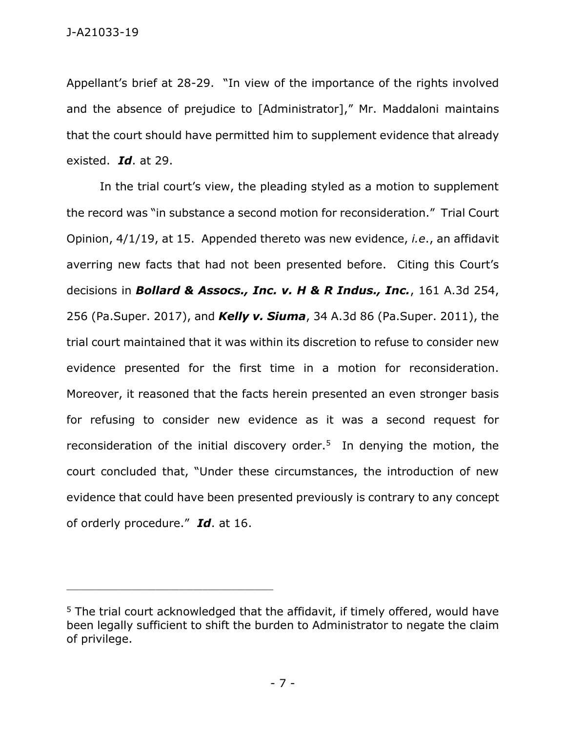Appellant's brief at 28-29. "In view of the importance of the rights involved and the absence of prejudice to [Administrator]," Mr. Maddaloni maintains that the court should have permitted him to supplement evidence that already existed. *Id*. at 29.

In the trial court's view, the pleading styled as a motion to supplement the record was "in substance a second motion for reconsideration." Trial Court Opinion, 4/1/19, at 15. Appended thereto was new evidence, *i.e*., an affidavit averring new facts that had not been presented before. Citing this Court's decisions in *Bollard & Assocs., Inc. v. H & R Indus., Inc.*, 161 A.3d 254, 256 (Pa.Super. 2017), and *Kelly v. Siuma*, 34 A.3d 86 (Pa.Super. 2011), the trial court maintained that it was within its discretion to refuse to consider new evidence presented for the first time in a motion for reconsideration. Moreover, it reasoned that the facts herein presented an even stronger basis for refusing to consider new evidence as it was a second request for reconsideration of the initial discovery order.<sup>5</sup> In denying the motion, the court concluded that, "Under these circumstances, the introduction of new evidence that could have been presented previously is contrary to any concept of orderly procedure." *Id*. at 16.

\_\_\_\_\_\_\_\_\_\_\_\_\_\_\_\_\_\_\_\_\_\_\_\_\_\_\_\_\_\_\_\_\_\_\_\_\_\_\_\_\_\_\_\_

 $5$  The trial court acknowledged that the affidavit, if timely offered, would have been legally sufficient to shift the burden to Administrator to negate the claim of privilege.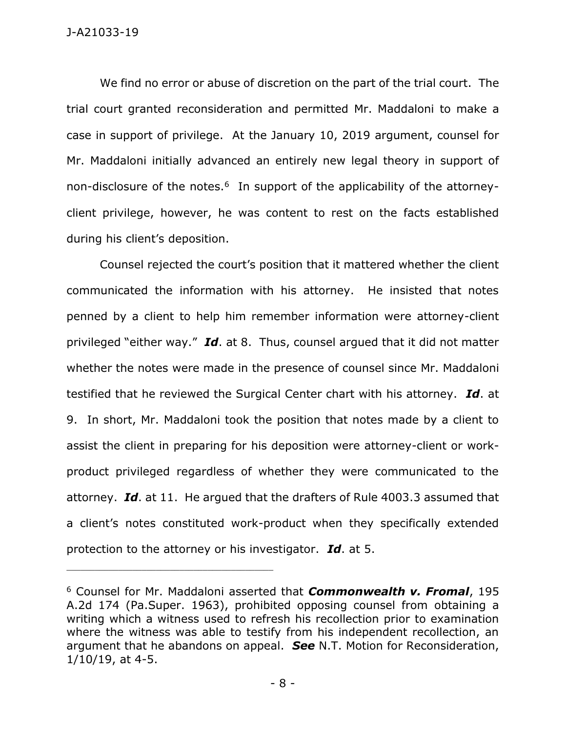We find no error or abuse of discretion on the part of the trial court. The trial court granted reconsideration and permitted Mr. Maddaloni to make a case in support of privilege. At the January 10, 2019 argument, counsel for Mr. Maddaloni initially advanced an entirely new legal theory in support of non-disclosure of the notes.<sup>6</sup> In support of the applicability of the attorneyclient privilege, however, he was content to rest on the facts established during his client's deposition.

Counsel rejected the court's position that it mattered whether the client communicated the information with his attorney. He insisted that notes penned by a client to help him remember information were attorney-client privileged "either way." *Id*. at 8. Thus, counsel argued that it did not matter whether the notes were made in the presence of counsel since Mr. Maddaloni testified that he reviewed the Surgical Center chart with his attorney. *Id*. at 9. In short, Mr. Maddaloni took the position that notes made by a client to assist the client in preparing for his deposition were attorney-client or workproduct privileged regardless of whether they were communicated to the attorney. *Id*. at 11. He argued that the drafters of Rule 4003.3 assumed that a client's notes constituted work-product when they specifically extended protection to the attorney or his investigator. *Id*. at 5.

<sup>6</sup> Counsel for Mr. Maddaloni asserted that *Commonwealth v. Fromal*, 195 A.2d 174 (Pa.Super. 1963), prohibited opposing counsel from obtaining a writing which a witness used to refresh his recollection prior to examination where the witness was able to testify from his independent recollection, an argument that he abandons on appeal. *See* N.T. Motion for Reconsideration, 1/10/19, at 4-5.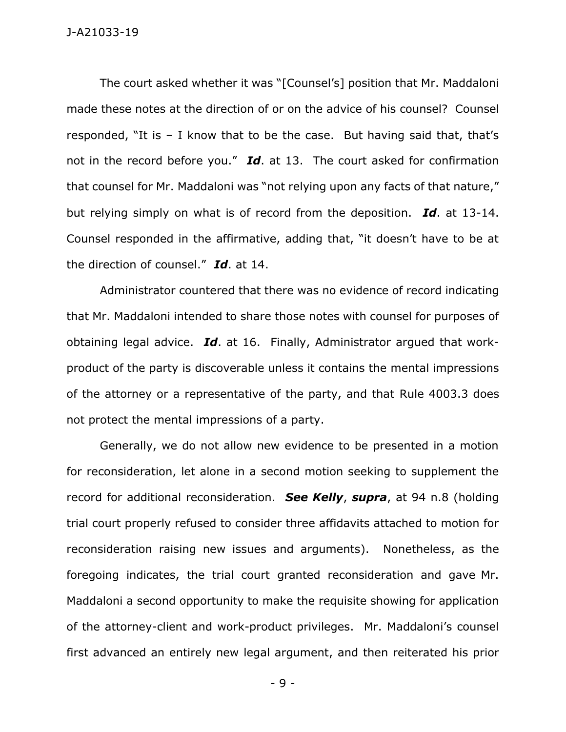The court asked whether it was "[Counsel's] position that Mr. Maddaloni made these notes at the direction of or on the advice of his counsel? Counsel responded, "It is – I know that to be the case. But having said that, that's not in the record before you." *Id*. at 13. The court asked for confirmation that counsel for Mr. Maddaloni was "not relying upon any facts of that nature," but relying simply on what is of record from the deposition. *Id*. at 13-14. Counsel responded in the affirmative, adding that, "it doesn't have to be at the direction of counsel." *Id*. at 14.

Administrator countered that there was no evidence of record indicating that Mr. Maddaloni intended to share those notes with counsel for purposes of obtaining legal advice. *Id*. at 16. Finally, Administrator argued that workproduct of the party is discoverable unless it contains the mental impressions of the attorney or a representative of the party, and that Rule 4003.3 does not protect the mental impressions of a party.

Generally, we do not allow new evidence to be presented in a motion for reconsideration, let alone in a second motion seeking to supplement the record for additional reconsideration. *See Kelly*, *supra*, at 94 n.8 (holding trial court properly refused to consider three affidavits attached to motion for reconsideration raising new issues and arguments). Nonetheless, as the foregoing indicates, the trial court granted reconsideration and gave Mr. Maddaloni a second opportunity to make the requisite showing for application of the attorney-client and work-product privileges. Mr. Maddaloni's counsel first advanced an entirely new legal argument, and then reiterated his prior

- 9 -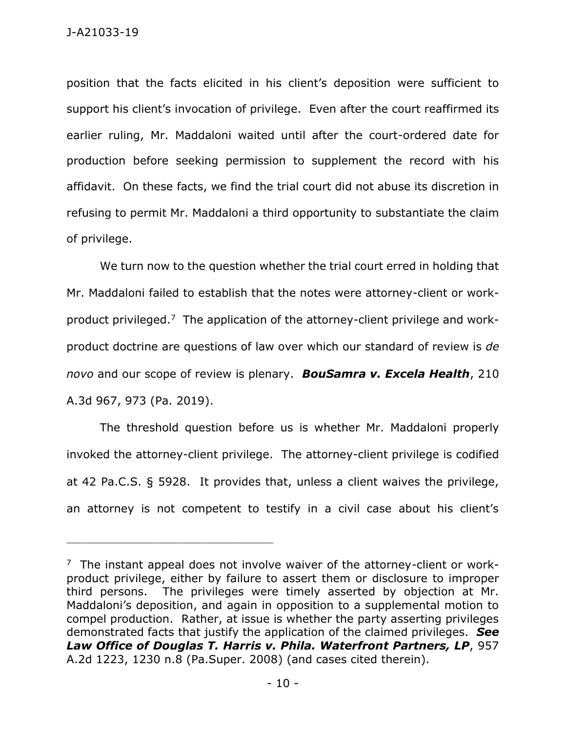position that the facts elicited in his client's deposition were sufficient to support his client's invocation of privilege. Even after the court reaffirmed its earlier ruling, Mr. Maddaloni waited until after the court-ordered date for production before seeking permission to supplement the record with his affidavit. On these facts, we find the trial court did not abuse its discretion in refusing to permit Mr. Maddaloni a third opportunity to substantiate the claim of privilege.

We turn now to the question whether the trial court erred in holding that Mr. Maddaloni failed to establish that the notes were attorney-client or workproduct privileged.<sup>7</sup> The application of the attorney-client privilege and workproduct doctrine are questions of law over which our standard of review is *de novo* and our scope of review is plenary. *BouSamra v. Excela Health*, 210 A.3d 967, 973 (Pa. 2019).

The threshold question before us is whether Mr. Maddaloni properly invoked the attorney-client privilege. The attorney-client privilege is codified at 42 Pa.C.S. § 5928. It provides that, unless a client waives the privilege, an attorney is not competent to testify in a civil case about his client's

 $7$  The instant appeal does not involve waiver of the attorney-client or workproduct privilege, either by failure to assert them or disclosure to improper third persons. The privileges were timely asserted by objection at Mr. Maddaloni's deposition, and again in opposition to a supplemental motion to compel production. Rather, at issue is whether the party asserting privileges demonstrated facts that justify the application of the claimed privileges. *See Law Office of Douglas T. Harris v. Phila. Waterfront Partners, LP*, 957 A.2d 1223, 1230 n.8 (Pa.Super. 2008) (and cases cited therein).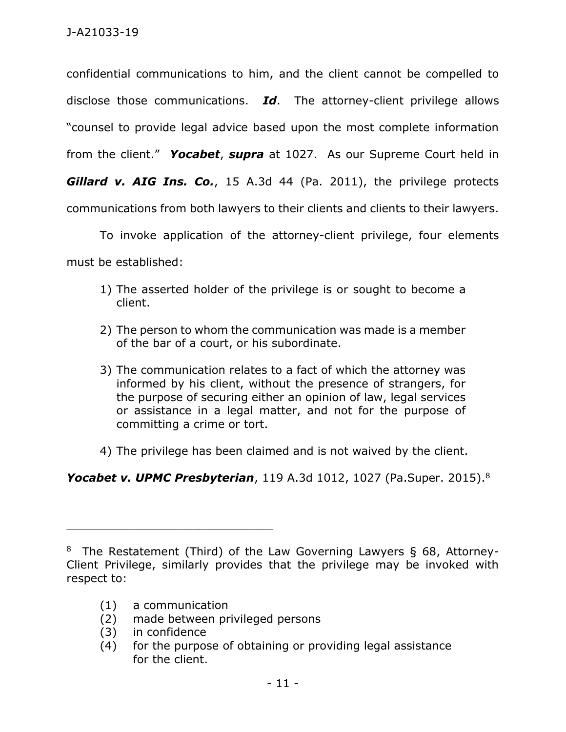confidential communications to him, and the client cannot be compelled to disclose those communications. *Id*. The attorney-client privilege allows "counsel to provide legal advice based upon the most complete information from the client." *Yocabet*, *supra* at 1027. As our Supreme Court held in *Gillard v. AIG Ins. Co.*, 15 A.3d 44 (Pa. 2011), the privilege protects communications from both lawyers to their clients and clients to their lawyers.

To invoke application of the attorney-client privilege, four elements must be established:

- 1) The asserted holder of the privilege is or sought to become a client.
- 2) The person to whom the communication was made is a member of the bar of a court, or his subordinate.
- 3) The communication relates to a fact of which the attorney was informed by his client, without the presence of strangers, for the purpose of securing either an opinion of law, legal services or assistance in a legal matter, and not for the purpose of committing a crime or tort.
- 4) The privilege has been claimed and is not waived by the client.

*Yocabet v. UPMC Presbyterian*, 119 A.3d 1012, 1027 (Pa.Super. 2015).<sup>8</sup>

(1) a communication

\_\_\_\_\_\_\_\_\_\_\_\_\_\_\_\_\_\_\_\_\_\_\_\_\_\_\_\_\_\_\_\_\_\_\_\_\_\_\_\_\_\_\_\_

- (2) made between privileged persons
- (3) in confidence
- (4) for the purpose of obtaining or providing legal assistance for the client.

<sup>&</sup>lt;sup>8</sup> The Restatement (Third) of the Law Governing Lawyers § 68, Attorney-Client Privilege, similarly provides that the privilege may be invoked with respect to: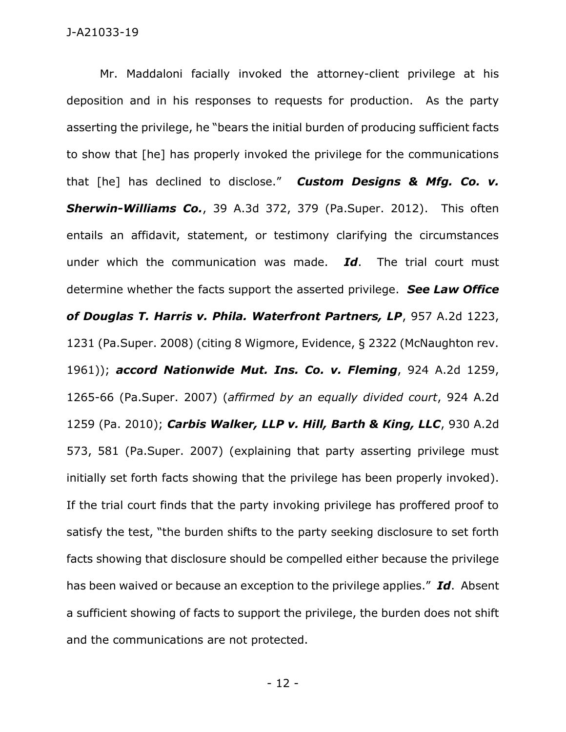Mr. Maddaloni facially invoked the attorney-client privilege at his deposition and in his responses to requests for production. As the party asserting the privilege, he "bears the initial burden of producing sufficient facts to show that [he] has properly invoked the privilege for the communications that [he] has declined to disclose." *Custom Designs & Mfg. Co. v. Sherwin-Williams Co.*, 39 A.3d 372, 379 (Pa.Super. 2012). This often entails an affidavit, statement, or testimony clarifying the circumstances under which the communication was made. *Id*. The trial court must determine whether the facts support the asserted privilege. *See Law Office of Douglas T. Harris v. Phila. Waterfront Partners, LP*, 957 A.2d 1223, 1231 (Pa.Super. 2008) (citing 8 Wigmore, Evidence, § 2322 (McNaughton rev. 1961)); *accord Nationwide Mut. Ins. Co. v. Fleming*, 924 A.2d 1259, 1265-66 (Pa.Super. 2007) (*affirmed by an equally divided court*, 924 A.2d 1259 (Pa. 2010); *Carbis Walker, LLP v. Hill, Barth & King, LLC*, 930 A.2d 573, 581 (Pa.Super. 2007) (explaining that party asserting privilege must initially set forth facts showing that the privilege has been properly invoked). If the trial court finds that the party invoking privilege has proffered proof to satisfy the test, "the burden shifts to the party seeking disclosure to set forth facts showing that disclosure should be compelled either because the privilege has been waived or because an exception to the privilege applies." *Id*. Absent a sufficient showing of facts to support the privilege, the burden does not shift and the communications are not protected.

- 12 -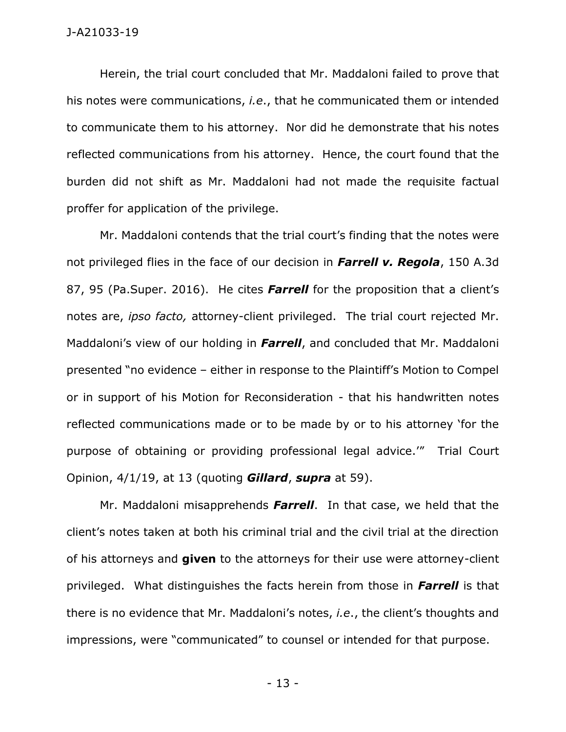Herein, the trial court concluded that Mr. Maddaloni failed to prove that his notes were communications, *i.e*., that he communicated them or intended to communicate them to his attorney. Nor did he demonstrate that his notes reflected communications from his attorney. Hence, the court found that the burden did not shift as Mr. Maddaloni had not made the requisite factual proffer for application of the privilege.

Mr. Maddaloni contends that the trial court's finding that the notes were not privileged flies in the face of our decision in *Farrell v. Regola*, 150 A.3d 87, 95 (Pa.Super. 2016). He cites *Farrell* for the proposition that a client's notes are, *ipso facto,* attorney-client privileged. The trial court rejected Mr. Maddaloni's view of our holding in *Farrell*, and concluded that Mr. Maddaloni presented "no evidence – either in response to the Plaintiff's Motion to Compel or in support of his Motion for Reconsideration - that his handwritten notes reflected communications made or to be made by or to his attorney 'for the purpose of obtaining or providing professional legal advice.'" Trial Court Opinion, 4/1/19, at 13 (quoting *Gillard*, *supra* at 59).

Mr. Maddaloni misapprehends *Farrell*. In that case, we held that the client's notes taken at both his criminal trial and the civil trial at the direction of his attorneys and **given** to the attorneys for their use were attorney-client privileged. What distinguishes the facts herein from those in *Farrell* is that there is no evidence that Mr. Maddaloni's notes, *i.e*., the client's thoughts and impressions, were "communicated" to counsel or intended for that purpose.

- 13 -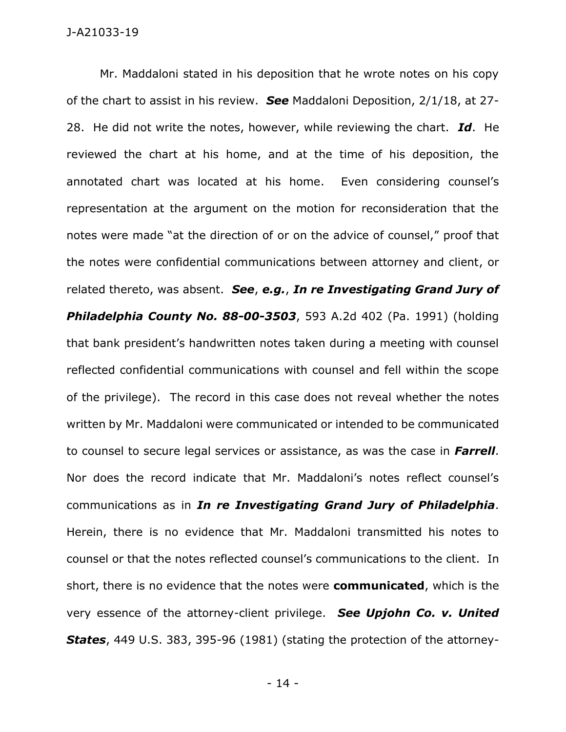Mr. Maddaloni stated in his deposition that he wrote notes on his copy of the chart to assist in his review. *See* Maddaloni Deposition, 2/1/18, at 27- 28. He did not write the notes, however, while reviewing the chart. *Id*. He reviewed the chart at his home, and at the time of his deposition, the annotated chart was located at his home. Even considering counsel's representation at the argument on the motion for reconsideration that the notes were made "at the direction of or on the advice of counsel," proof that the notes were confidential communications between attorney and client, or related thereto, was absent. *See*, *e.g.*, *In re Investigating Grand Jury of Philadelphia County No. 88-00-3503*, 593 A.2d 402 (Pa. 1991) (holding that bank president's handwritten notes taken during a meeting with counsel reflected confidential communications with counsel and fell within the scope of the privilege). The record in this case does not reveal whether the notes written by Mr. Maddaloni were communicated or intended to be communicated to counsel to secure legal services or assistance, as was the case in *Farrell*. Nor does the record indicate that Mr. Maddaloni's notes reflect counsel's communications as in *In re Investigating Grand Jury of Philadelphia*. Herein, there is no evidence that Mr. Maddaloni transmitted his notes to counsel or that the notes reflected counsel's communications to the client. In short, there is no evidence that the notes were **communicated**, which is the very essence of the attorney-client privilege. *See Upjohn Co. v. United States*, 449 U.S. 383, 395-96 (1981) (stating the protection of the attorney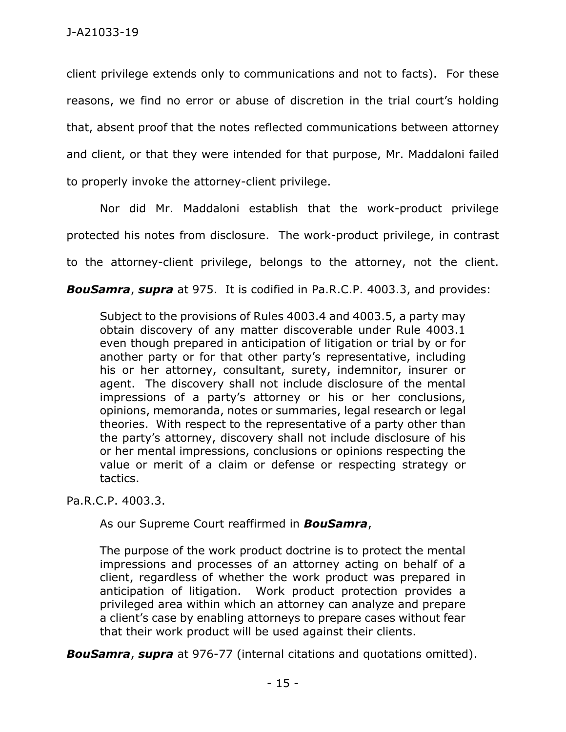client privilege extends only to communications and not to facts). For these reasons, we find no error or abuse of discretion in the trial court's holding that, absent proof that the notes reflected communications between attorney and client, or that they were intended for that purpose, Mr. Maddaloni failed to properly invoke the attorney-client privilege.

Nor did Mr. Maddaloni establish that the work-product privilege protected his notes from disclosure. The work-product privilege, in contrast to the attorney-client privilege, belongs to the attorney, not the client.

*BouSamra*, *supra* at 975. It is codified in Pa.R.C.P. 4003.3, and provides:

Subject to the provisions of Rules 4003.4 and 4003.5, a party may obtain discovery of any matter discoverable under Rule 4003.1 even though prepared in anticipation of litigation or trial by or for another party or for that other party's representative, including his or her attorney, consultant, surety, indemnitor, insurer or agent. The discovery shall not include disclosure of the mental impressions of a party's attorney or his or her conclusions, opinions, memoranda, notes or summaries, legal research or legal theories. With respect to the representative of a party other than the party's attorney, discovery shall not include disclosure of his or her mental impressions, conclusions or opinions respecting the value or merit of a claim or defense or respecting strategy or tactics.

Pa.R.C.P. 4003.3.

As our Supreme Court reaffirmed in *BouSamra*,

The purpose of the work product doctrine is to protect the mental impressions and processes of an attorney acting on behalf of a client, regardless of whether the work product was prepared in anticipation of litigation. Work product protection provides a privileged area within which an attorney can analyze and prepare a client's case by enabling attorneys to prepare cases without fear that their work product will be used against their clients.

*BouSamra*, *supra* at 976-77 (internal citations and quotations omitted).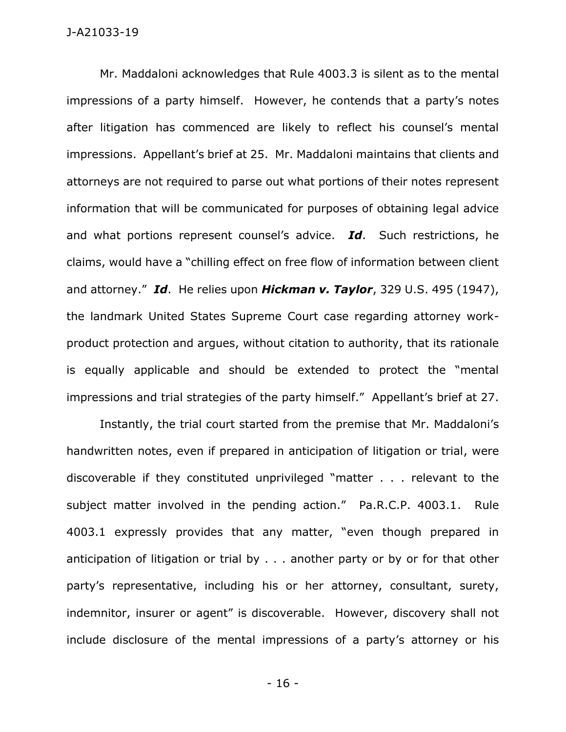Mr. Maddaloni acknowledges that Rule 4003.3 is silent as to the mental impressions of a party himself. However, he contends that a party's notes after litigation has commenced are likely to reflect his counsel's mental impressions. Appellant's brief at 25. Mr. Maddaloni maintains that clients and attorneys are not required to parse out what portions of their notes represent information that will be communicated for purposes of obtaining legal advice and what portions represent counsel's advice. *Id*. Such restrictions, he claims, would have a "chilling effect on free flow of information between client and attorney." *Id*. He relies upon *Hickman v. Taylor*, 329 U.S. 495 (1947), the landmark United States Supreme Court case regarding attorney workproduct protection and argues, without citation to authority, that its rationale is equally applicable and should be extended to protect the "mental impressions and trial strategies of the party himself." Appellant's brief at 27.

Instantly, the trial court started from the premise that Mr. Maddaloni's handwritten notes, even if prepared in anticipation of litigation or trial, were discoverable if they constituted unprivileged "matter . . . relevant to the subject matter involved in the pending action." Pa.R.C.P. 4003.1. Rule 4003.1 expressly provides that any matter, "even though prepared in anticipation of litigation or trial by . . . another party or by or for that other party's representative, including his or her attorney, consultant, surety, indemnitor, insurer or agent" is discoverable. However, discovery shall not include disclosure of the mental impressions of a party's attorney or his

- 16 -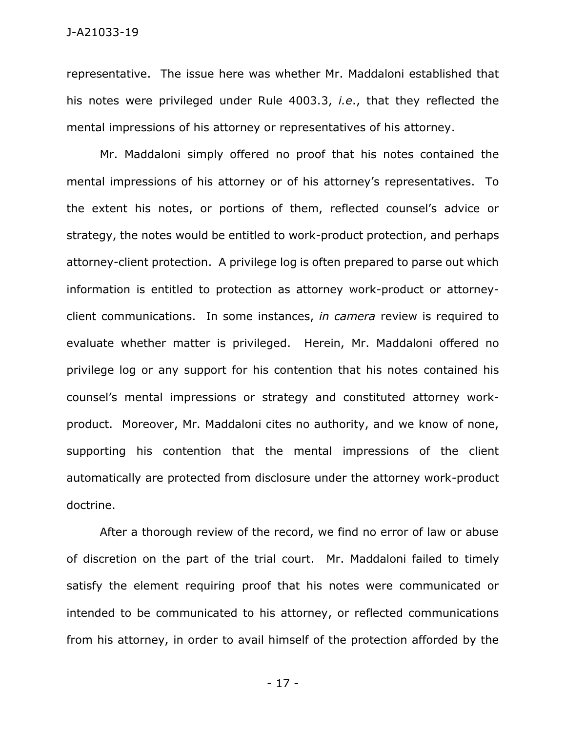representative. The issue here was whether Mr. Maddaloni established that his notes were privileged under Rule 4003.3, *i.e*., that they reflected the mental impressions of his attorney or representatives of his attorney.

Mr. Maddaloni simply offered no proof that his notes contained the mental impressions of his attorney or of his attorney's representatives. To the extent his notes, or portions of them, reflected counsel's advice or strategy, the notes would be entitled to work-product protection, and perhaps attorney-client protection. A privilege log is often prepared to parse out which information is entitled to protection as attorney work-product or attorneyclient communications. In some instances, *in camera* review is required to evaluate whether matter is privileged. Herein, Mr. Maddaloni offered no privilege log or any support for his contention that his notes contained his counsel's mental impressions or strategy and constituted attorney workproduct. Moreover, Mr. Maddaloni cites no authority, and we know of none, supporting his contention that the mental impressions of the client automatically are protected from disclosure under the attorney work-product doctrine.

After a thorough review of the record, we find no error of law or abuse of discretion on the part of the trial court. Mr. Maddaloni failed to timely satisfy the element requiring proof that his notes were communicated or intended to be communicated to his attorney, or reflected communications from his attorney, in order to avail himself of the protection afforded by the

- 17 -